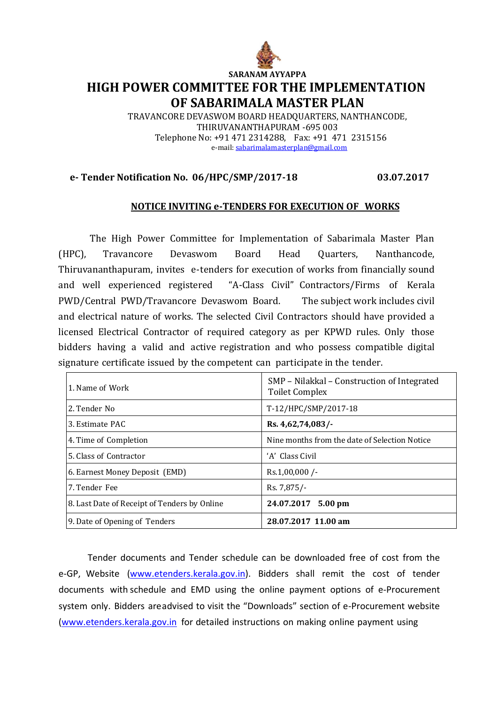

## **SARANAM AYYAPPA HIGH POWER COMMITTEE FOR THE IMPLEMENTATION OF SABARIMALA MASTER PLAN**

TRAVANCORE DEVASWOM BOARD HEADQUARTERS, NANTHANCODE, THIRUVANANTHAPURAM -695 003 Telephone No: +91 471 2314288, Fax: +91 471 2315156 e-mail[: sabarimalamasterplan@gmail.com](mailto:sabarimalamasterplan@gmail.com)

## **e- Tender Notification No. 06/HPC/SMP/2017-18 03.07.2017**

## **NOTICE INVITING e-TENDERS FOR EXECUTION OF WORKS**

The High Power Committee for Implementation of Sabarimala Master Plan (HPC), Travancore Devaswom Board Head Quarters, Nanthancode, Thiruvananthapuram, invites e-tenders for execution of works from financially sound and well experienced registered "A-Class Civil" Contractors/Firms of Kerala PWD/Central PWD/Travancore Devaswom Board. The subject work includes civil and electrical nature of works. The selected Civil Contractors should have provided a licensed Electrical Contractor of required category as per KPWD rules. Only those bidders having a valid and active registration and who possess compatible digital signature certificate issued by the competent can participate in the tender.

| 1. Name of Work                              | SMP – Nilakkal – Construction of Integrated<br><b>Toilet Complex</b> |
|----------------------------------------------|----------------------------------------------------------------------|
| 2. Tender No.                                | T-12/HPC/SMP/2017-18                                                 |
| 3. Estimate PAC                              | Rs. 4,62,74,083/                                                     |
| 4. Time of Completion                        | Nine months from the date of Selection Notice                        |
| 5. Class of Contractor                       | 'A' Class Civil                                                      |
| 6. Earnest Money Deposit (EMD)               | Rs.1,00,000/                                                         |
| 7. Tender Fee                                | Rs. 7,875/-                                                          |
| 8. Last Date of Receipt of Tenders by Online | 24.07.2017 5.00 pm                                                   |
| 9. Date of Opening of Tenders                | 28.07.2017 11.00 am                                                  |

Tender documents and Tender schedule can be downloaded free of cost from the e-GP, Website (www.etenders.kerala.gov.in). Bidders shall remit the cost of tender documents with schedule and EMD using the online payment options of e-Procurement system only. Bidders areadvised to visit the "Downloads" section of e-Procurement website [\(www.etenders.kerala.gov.in](http://www.etenders.kerala.gov.in/) for detailed instructions on making online payment using